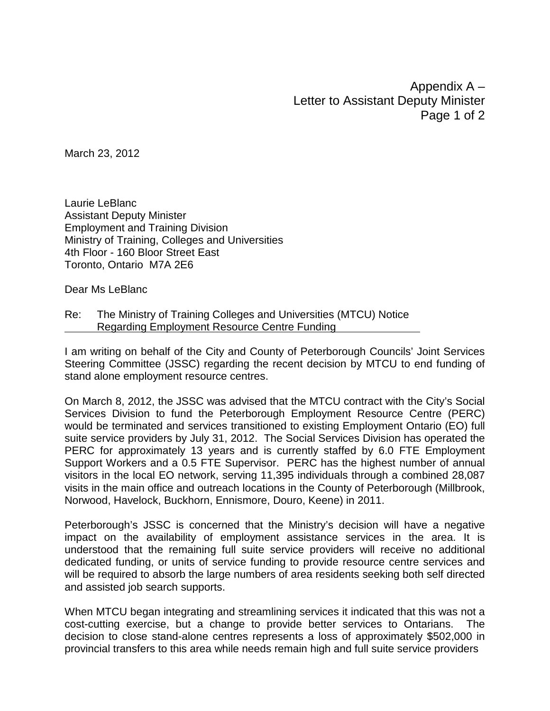Appendix A – Letter to Assistant Deputy Minister Page 1 of 2

March 23, 2012

Laurie LeBlanc Assistant Deputy Minister Employment and Training Division Ministry of Training, Colleges and Universities 4th Floor - 160 Bloor Street East Toronto, Ontario M7A 2E6

Dear Ms LeBlanc

Re: The Ministry of Training Colleges and Universities (MTCU) Notice Regarding Employment Resource Centre Funding

I am writing on behalf of the City and County of Peterborough Councils' Joint Services Steering Committee (JSSC) regarding the recent decision by MTCU to end funding of stand alone employment resource centres.

On March 8, 2012, the JSSC was advised that the MTCU contract with the City's Social Services Division to fund the Peterborough Employment Resource Centre (PERC) would be terminated and services transitioned to existing Employment Ontario (EO) full suite service providers by July 31, 2012. The Social Services Division has operated the PERC for approximately 13 years and is currently staffed by 6.0 FTE Employment Support Workers and a 0.5 FTE Supervisor. PERC has the highest number of annual visitors in the local EO network, serving 11,395 individuals through a combined 28,087 visits in the main office and outreach locations in the County of Peterborough (Millbrook, Norwood, Havelock, Buckhorn, Ennismore, Douro, Keene) in 2011.

Peterborough's JSSC is concerned that the Ministry's decision will have a negative impact on the availability of employment assistance services in the area. It is understood that the remaining full suite service providers will receive no additional dedicated funding, or units of service funding to provide resource centre services and will be required to absorb the large numbers of area residents seeking both self directed and assisted job search supports.

When MTCU began integrating and streamlining services it indicated that this was not a cost-cutting exercise, but a change to provide better services to Ontarians. The decision to close stand-alone centres represents a loss of approximately \$502,000 in provincial transfers to this area while needs remain high and full suite service providers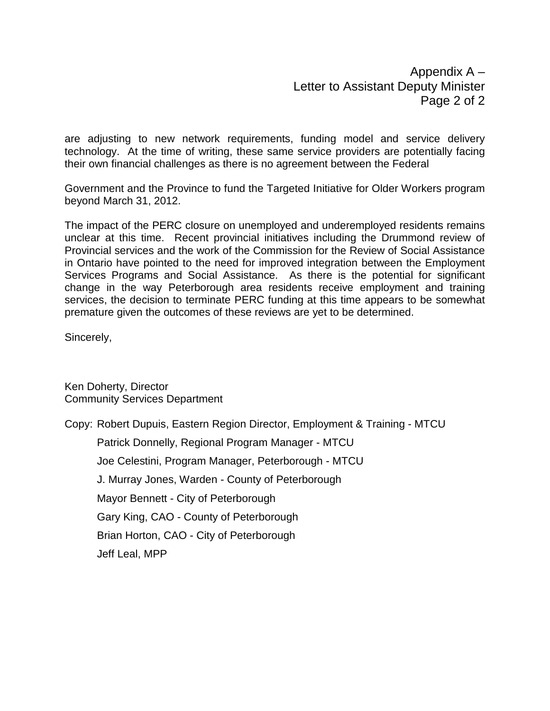Appendix A – Letter to Assistant Deputy Minister Page 2 of 2

are adjusting to new network requirements, funding model and service delivery technology. At the time of writing, these same service providers are potentially facing their own financial challenges as there is no agreement between the Federal

Government and the Province to fund the Targeted Initiative for Older Workers program beyond March 31, 2012.

The impact of the PERC closure on unemployed and underemployed residents remains unclear at this time. Recent provincial initiatives including the Drummond review of Provincial services and the work of the Commission for the Review of Social Assistance in Ontario have pointed to the need for improved integration between the Employment Services Programs and Social Assistance. As there is the potential for significant change in the way Peterborough area residents receive employment and training services, the decision to terminate PERC funding at this time appears to be somewhat premature given the outcomes of these reviews are yet to be determined.

Sincerely,

Ken Doherty, Director Community Services Department

Copy: Robert Dupuis, Eastern Region Director, Employment & Training - MTCU Patrick Donnelly, Regional Program Manager - MTCU Joe Celestini, Program Manager, Peterborough - MTCU J. Murray Jones, Warden - County of Peterborough Mayor Bennett - City of Peterborough Gary King, CAO - County of Peterborough Brian Horton, CAO - City of Peterborough Jeff Leal, MPP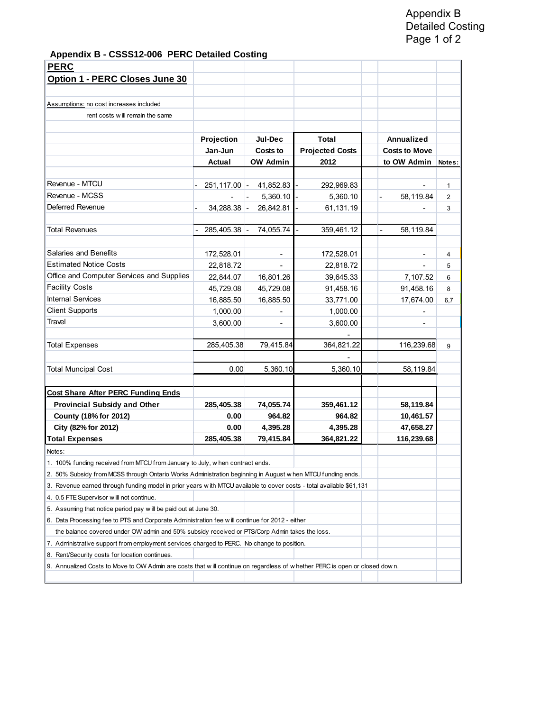**Appendix B - CSSS12-006 PERC Detailed Costing**

| <b>PERC</b>                                                                                                                 |                 |                              |                        |                             |                |
|-----------------------------------------------------------------------------------------------------------------------------|-----------------|------------------------------|------------------------|-----------------------------|----------------|
| Option 1 - PERC Closes June 30                                                                                              |                 |                              |                        |                             |                |
|                                                                                                                             |                 |                              |                        |                             |                |
| Assumptions: no cost increases included                                                                                     |                 |                              |                        |                             |                |
| rent costs will remain the same                                                                                             |                 |                              |                        |                             |                |
|                                                                                                                             |                 |                              |                        |                             |                |
|                                                                                                                             | Projection      | Jul-Dec                      | Total                  | Annualized                  |                |
|                                                                                                                             | Jan-Jun         | Costs to                     | <b>Projected Costs</b> | <b>Costs to Move</b>        |                |
|                                                                                                                             | Actual          | <b>OW Admin</b>              | 2012                   | to OW Admin                 | Notes:         |
| Revenue - MTCU                                                                                                              | $251, 117.00$ - | 41,852.83                    | 292,969.83             |                             | 1              |
| Revenue - MCSS                                                                                                              |                 | 5,360.10                     | 5,360.10               | 58,119.84                   | $\overline{2}$ |
| Deferred Revenue                                                                                                            |                 |                              |                        |                             |                |
|                                                                                                                             | $34,288.38$ -   | 26,842.81                    | 61,131.19              |                             | 3              |
| Total Revenues                                                                                                              | 285,405.38 -    | 74,055.74                    | 359,461.12             | 58,119.84<br>$\blacksquare$ |                |
|                                                                                                                             |                 |                              |                        |                             |                |
| Salaries and Benefits                                                                                                       | 172,528.01      |                              | 172,528.01             |                             | 4              |
| <b>Estimated Notice Costs</b>                                                                                               | 22,818.72       |                              | 22,818.72              |                             | 5              |
| Office and Computer Services and Supplies                                                                                   | 22,844.07       | 16,801.26                    | 39,645.33              | 7,107.52                    | 6              |
| <b>Facility Costs</b>                                                                                                       | 45,729.08       | 45,729.08                    | 91,458.16              | 91,458.16                   | 8              |
| <b>Internal Services</b>                                                                                                    | 16,885.50       | 16,885.50                    | 33,771.00              | 17,674.00                   | 6,7            |
| <b>Client Supports</b>                                                                                                      | 1,000.00        | $\qquad \qquad \blacksquare$ | 1,000.00               | $\overline{\phantom{a}}$    |                |
| Travel                                                                                                                      | 3,600.00        |                              | 3,600.00               | $\overline{\phantom{a}}$    |                |
| <b>Total Expenses</b>                                                                                                       | 285,405.38      | 79,415.84                    | 364,821.22             | 116,239.68                  | 9              |
|                                                                                                                             |                 |                              |                        |                             |                |
| <b>Total Muncipal Cost</b>                                                                                                  | 0.00            | 5,360.10                     | 5,360.10               | 58,119.84                   |                |
|                                                                                                                             |                 |                              |                        |                             |                |
| <b>Cost Share After PERC Funding Ends</b>                                                                                   |                 |                              |                        |                             |                |
| <b>Provincial Subsidy and Other</b>                                                                                         | 285,405.38      | 74,055.74                    | 359,461.12             | 58,119.84                   |                |
| County (18% for 2012)                                                                                                       | 0.00            | 964.82                       | 964.82                 | 10,461.57                   |                |
| City (82% for 2012)                                                                                                         | 0.00            | 4,395.28                     | 4,395.28               | 47,658.27                   |                |
| <b>Total Expenses</b>                                                                                                       | 285,405.38      | 79,415.84                    | 364,821.22             | 116,239.68                  |                |
| Notes:                                                                                                                      |                 |                              |                        |                             |                |
| 1. 100% funding received from MTCU from January to July, w hen contract ends.                                               |                 |                              |                        |                             |                |
| 2. 50% Subsidy from MCSS through Ontario Works Administration beginning in August w hen MTCU funding ends.                  |                 |                              |                        |                             |                |
| 3. Revenue earned through funding model in prior years with MTCU available to cover costs - total available \$61,131        |                 |                              |                        |                             |                |
| 4. 0.5 FTE Supervisor will not continue.                                                                                    |                 |                              |                        |                             |                |
| 5. Assuming that notice period pay will be paid out at June 30.                                                             |                 |                              |                        |                             |                |
| 6. Data Processing fee to PTS and Corporate Administration fee will continue for 2012 - either                              |                 |                              |                        |                             |                |
| the balance covered under OW admin and 50% subsidy received or PTS/Corp Admin takes the loss.                               |                 |                              |                        |                             |                |
| 7. Administrative support from employment services charged to PERC. No change to position.                                  |                 |                              |                        |                             |                |
| 8. Rent/Security costs for location continues.                                                                              |                 |                              |                        |                             |                |
| 9. Annualized Costs to Move to OW Admin are costs that will continue on regardless of w hether PERC is open or closed down. |                 |                              |                        |                             |                |
|                                                                                                                             |                 |                              |                        |                             |                |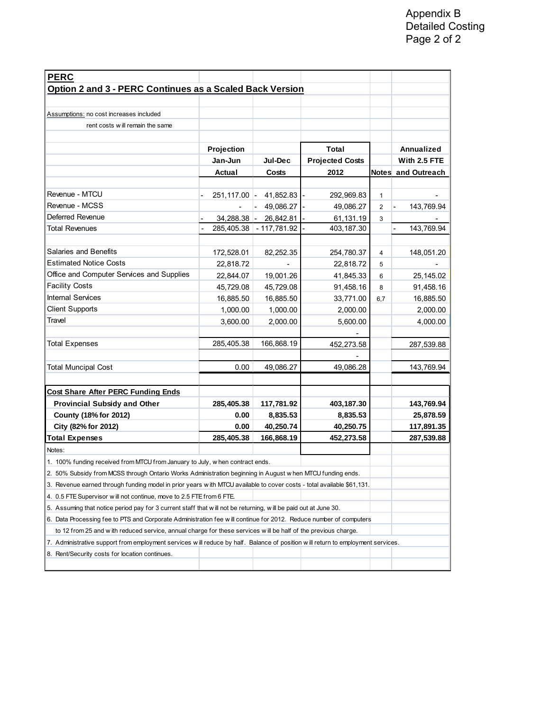| <b>PERC</b>                                                                                                                     |                |               |                        |              |                    |  |  |  |
|---------------------------------------------------------------------------------------------------------------------------------|----------------|---------------|------------------------|--------------|--------------------|--|--|--|
| Option 2 and 3 - PERC Continues as a Scaled Back Version                                                                        |                |               |                        |              |                    |  |  |  |
|                                                                                                                                 |                |               |                        |              |                    |  |  |  |
| Assumptions: no cost increases included                                                                                         |                |               |                        |              |                    |  |  |  |
| rent costs will remain the same                                                                                                 |                |               |                        |              |                    |  |  |  |
|                                                                                                                                 |                |               |                        |              |                    |  |  |  |
|                                                                                                                                 | Projection     |               | Total                  |              | Annualized         |  |  |  |
|                                                                                                                                 | Jan-Jun        | Jul-Dec       | <b>Projected Costs</b> |              | With 2.5 FTE       |  |  |  |
|                                                                                                                                 | Actual         | Costs         | 2012                   |              | Notes and Outreach |  |  |  |
|                                                                                                                                 |                |               |                        |              |                    |  |  |  |
| Revenue - MTCU                                                                                                                  | $251,117.00$ - | 41,852.83     | 292,969.83             | $\mathbf{1}$ |                    |  |  |  |
| Revenue - MCSS                                                                                                                  |                | 49,086.27     | 49,086.27              | 2            | 143,769.94         |  |  |  |
| Deferred Revenue                                                                                                                | $34,288.38$ -  | 26,842.81     | 61,131.19              | 3            |                    |  |  |  |
| <b>Total Revenues</b>                                                                                                           | 285,405.38     | $-117,781.92$ | 403, 187.30            |              | 143,769.94         |  |  |  |
|                                                                                                                                 |                |               |                        |              |                    |  |  |  |
| Salaries and Benefits                                                                                                           | 172,528.01     | 82,252.35     | 254,780.37             | 4            | 148,051.20         |  |  |  |
| <b>Estimated Notice Costs</b>                                                                                                   | 22,818.72      |               | 22,818.72              | 5            |                    |  |  |  |
| Office and Computer Services and Supplies                                                                                       | 22,844.07      | 19,001.26     | 41,845.33              | 6            | 25, 145.02         |  |  |  |
| <b>Facility Costs</b>                                                                                                           | 45,729.08      | 45,729.08     | 91,458.16              | 8            | 91,458.16          |  |  |  |
| <b>Internal Services</b>                                                                                                        | 16,885.50      | 16,885.50     | 33,771.00              | 6,7          | 16,885.50          |  |  |  |
| <b>Client Supports</b>                                                                                                          | 1,000.00       | 1,000.00      | 2,000.00               |              | 2,000.00           |  |  |  |
| Travel                                                                                                                          | 3,600.00       | 2,000.00      | 5,600.00               |              | 4,000.00           |  |  |  |
|                                                                                                                                 |                |               |                        |              |                    |  |  |  |
| <b>Total Expenses</b>                                                                                                           | 285,405.38     | 166,868.19    | 452,273.58             |              | 287,539.88         |  |  |  |
|                                                                                                                                 |                |               |                        |              |                    |  |  |  |
| <b>Total Muncipal Cost</b>                                                                                                      | 0.00           | 49,086.27     | 49,086.28              |              | 143,769.94         |  |  |  |
|                                                                                                                                 |                |               |                        |              |                    |  |  |  |
| <b>Cost Share After PERC Funding Ends</b>                                                                                       |                |               |                        |              |                    |  |  |  |
| <b>Provincial Subsidy and Other</b>                                                                                             | 285,405.38     | 117,781.92    | 403,187.30             |              | 143,769.94         |  |  |  |
| County (18% for 2012)                                                                                                           | 0.00           | 8,835.53      | 8,835.53               |              | 25,878.59          |  |  |  |
| City (82% for 2012)                                                                                                             | 0.00           | 40,250.74     | 40,250.75              |              | 117,891.35         |  |  |  |
| <b>Total Expenses</b>                                                                                                           | 285,405.38     | 166,868.19    | 452,273.58             |              | 287,539.88         |  |  |  |
| Notes:                                                                                                                          |                |               |                        |              |                    |  |  |  |
| 1. 100% funding received from MTCU from January to July, w hen contract ends.                                                   |                |               |                        |              |                    |  |  |  |
| 2. 50% Subsidy from MCSS through Ontario Works Administration beginning in August w hen MTCU funding ends.                      |                |               |                        |              |                    |  |  |  |
| 3. Revenue earned through funding model in prior years with MTCU available to cover costs - total available \$61,131.           |                |               |                        |              |                    |  |  |  |
| 4. 0.5 FTE Supervisor will not continue, move to 2.5 FTE from 6 FTE.                                                            |                |               |                        |              |                    |  |  |  |
| 5. Assuming that notice period pay for 3 current staff that will not be returning, will be paid out at June 30.                 |                |               |                        |              |                    |  |  |  |
| 6. Data Processing fee to PTS and Corporate Administration fee will continue for 2012. Reduce number of computers               |                |               |                        |              |                    |  |  |  |
| to 12 from 25 and with reduced service, annual charge for these services will be half of the previous charge.                   |                |               |                        |              |                    |  |  |  |
| 7. Administrative support from employment services will reduce by half. Balance of position will return to employment services. |                |               |                        |              |                    |  |  |  |
| 8. Rent/Security costs for location continues.                                                                                  |                |               |                        |              |                    |  |  |  |
|                                                                                                                                 |                |               |                        |              |                    |  |  |  |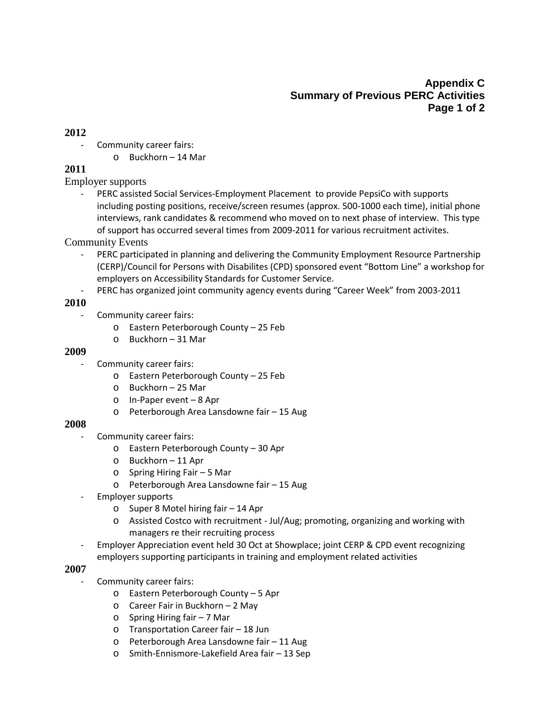# **Appendix C Summary of Previous PERC Activities Page 1 of 2**

#### **2012**

- Community career fairs:
	- o Buckhorn 14 Mar

## **2011**

Employer supports

- PERC assisted Social Services-Employment Placement to provide PepsiCo with supports including posting positions, receive/screen resumes (approx. 500-1000 each time), initial phone interviews, rank candidates & recommend who moved on to next phase of interview. This type of support has occurred several times from 2009-2011 for various recruitment activites.

### Community Events

- PERC participated in planning and delivering the Community Employment Resource Partnership (CERP)/Council for Persons with Disabilites (CPD) sponsored event "Bottom Line" a workshop for employers on Accessibility Standards for Customer Service.
- PERC has organized joint community agency events during "Career Week" from 2003-2011

## **2010**

- Community career fairs:
	- o Eastern Peterborough County 25 Feb
	- o Buckhorn 31 Mar

### **2009**

- Community career fairs:
	- o Eastern Peterborough County 25 Feb
	- o Buckhorn 25 Mar
	- o In-Paper event 8 Apr
	- o Peterborough Area Lansdowne fair 15 Aug

### **2008**

- Community career fairs:
	- o Eastern Peterborough County 30 Apr
	- o Buckhorn 11 Apr
	- o Spring Hiring Fair 5 Mar
	- o Peterborough Area Lansdowne fair 15 Aug
- Employer supports
	- o Super 8 Motel hiring fair 14 Apr
	- o Assisted Costco with recruitment Jul/Aug; promoting, organizing and working with managers re their recruiting process
- Employer Appreciation event held 30 Oct at Showplace; joint CERP & CPD event recognizing employers supporting participants in training and employment related activities

### **2007**

- Community career fairs:
	- o Eastern Peterborough County 5 Apr
	- o Career Fair in Buckhorn 2 May
	- o Spring Hiring fair 7 Mar
	- o Transportation Career fair 18 Jun
	- o Peterborough Area Lansdowne fair 11 Aug
	- o Smith-Ennismore-Lakefield Area fair 13 Sep